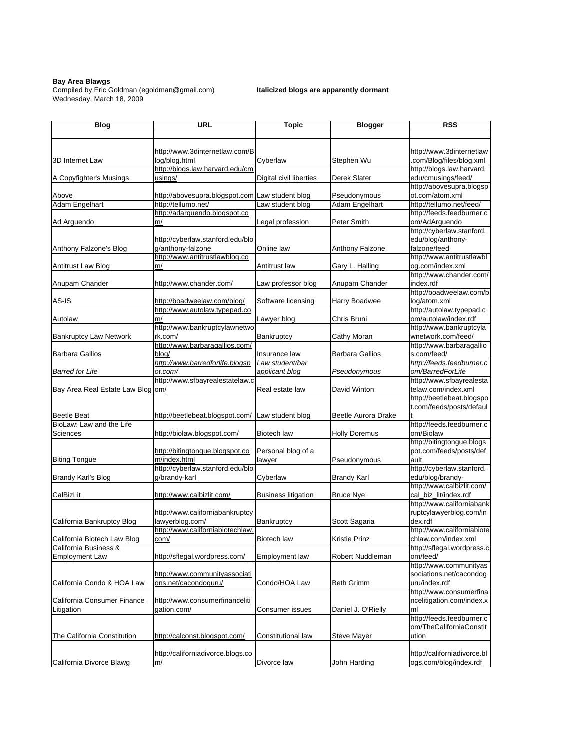## **Bay Area Blawgs**

Compiled by Eric Goldman (egoldman@gmail.com) **Italicized blogs are apparently dormant** Wednesday, March 18, 2009

| <b>Blog</b>                       | URL                                                                    | <b>Topic</b>               | <b>Blogger</b>                 | <b>RSS</b>                                         |
|-----------------------------------|------------------------------------------------------------------------|----------------------------|--------------------------------|----------------------------------------------------|
|                                   |                                                                        |                            |                                |                                                    |
|                                   |                                                                        |                            |                                |                                                    |
|                                   | http://www.3dinternetlaw.com/B                                         |                            |                                | http://www.3dinternetlaw                           |
| 3D Internet Law                   | log/blog.html                                                          | Cyberlaw                   | Stephen Wu                     | .com/Blog/files/blog.xml                           |
|                                   | http://blogs.law.harvard.edu/cm                                        |                            |                                | http://blogs.law.harvard.                          |
| A Copyfighter's Musings           | usings/                                                                | Digital civil liberties    | Derek Slater                   | edu/cmusings/feed/                                 |
|                                   |                                                                        |                            |                                | http://abovesupra.blogsp                           |
| Above<br>Adam Engelhart           | http://abovesupra.blogspot.com Law student blog<br>http://tellumo.net/ | Law student blog           | Pseudonymous<br>Adam Engelhart | ot.com/atom.xml<br>http://tellumo.net/feed/        |
|                                   | http://adarguendo.blogspot.co                                          |                            |                                | http://feeds.feedburner.c                          |
| Ad Arguendo                       | m/                                                                     | Legal profession           | Peter Smith                    | om/AdArguendo                                      |
|                                   |                                                                        |                            |                                | http://cyberlaw.stanford.                          |
|                                   | http://cyberlaw.stanford.edu/blo                                       |                            |                                | edu/blog/anthony-                                  |
| Anthony Falzone's Blog            | g/anthony-falzone                                                      | Online law                 | Anthony Falzone                | falzone/feed                                       |
|                                   | http://www.antitrustlawblog.co                                         |                            |                                | http://www.antitrustlawbl                          |
| Antitrust Law Blog                | m/                                                                     | Antitrust law              | Gary L. Halling                | og.com/index.xml                                   |
|                                   |                                                                        |                            |                                | http://www.chander.com/                            |
| Anupam Chander                    | http://www.chander.com/                                                | Law professor blog         | Anupam Chander                 | index.rdf                                          |
|                                   |                                                                        |                            |                                | http://boadweelaw.com/b                            |
| AS-IS                             | http://boadweelaw.com/blog/                                            | Software licensing         | Harry Boadwee                  | log/atom.xml                                       |
|                                   | http://www.autolaw.typepad.co                                          |                            |                                | http://autolaw.typepad.c                           |
| Autolaw                           | m/                                                                     | Lawyer blog                | Chris Bruni                    | om/autolaw/index.rdf                               |
|                                   | http://www.bankruptcylawnetwo                                          |                            |                                | http://www.bankruptcyla                            |
| <b>Bankruptcy Law Network</b>     | rk.com/<br>http://www.barbaragallios.com/                              | Bankruptcy                 | Cathy Moran                    | wnetwork.com/feed/                                 |
| <b>Barbara Gallios</b>            | blog/                                                                  | Insurance law              |                                | http://www.barbaragallio<br>s.com/feed/            |
|                                   | http://www.barredforlife.blogsp                                        | Law student/bar            | Barbara Gallios                | http://feeds.feedburner.c                          |
| <b>Barred for Life</b>            | ot.com/                                                                | applicant blog             | Pseudonymous                   | om/BarredForLife                                   |
|                                   | http://www.sfbayrealestatelaw.c                                        |                            |                                | http://www.sfbayrealesta                           |
| Bay Area Real Estate Law Blog om/ |                                                                        | Real estate law            | David Winton                   | telaw.com/index.xml                                |
|                                   |                                                                        |                            |                                | http://beetlebeat.blogspo                          |
|                                   |                                                                        |                            |                                | t.com/feeds/posts/defaul                           |
| <b>Beetle Beat</b>                | http://beetlebeat.blogspot.com/                                        | Law student blog           | Beetle Aurora Drake            |                                                    |
| BioLaw: Law and the Life          |                                                                        |                            |                                | http://feeds.feedburner.c                          |
| Sciences                          | http://biolaw.blogspot.com/                                            | Biotech law                | <b>Holly Doremus</b>           | om/Biolaw                                          |
|                                   |                                                                        |                            |                                | http://bitingtongue.blogs                          |
|                                   | http://bitingtongue.blogspot.co                                        | Personal blog of a         |                                | pot.com/feeds/posts/def                            |
| <b>Biting Tongue</b>              | m/index.html                                                           | lawyer                     | Pseudonymous                   | ault                                               |
|                                   | http://cyberlaw.stanford.edu/blo                                       |                            |                                | http://cyberlaw.stanford.                          |
| Brandy Karl's Blog                | g/brandy-karl                                                          | Cyberlaw                   | <b>Brandy Karl</b>             | edu/blog/brandy-                                   |
|                                   |                                                                        |                            |                                | http://www.calbizlit.com/                          |
| CalBizLit                         | http://www.calbizlit.com/                                              | <b>Business litigation</b> | <b>Bruce Nye</b>               | cal_biz_lit/index.rdf<br>http://www.californiabank |
|                                   | http://www.californiabankruptcy                                        |                            |                                | ruptcylawyerblog.com/in                            |
| California Bankruptcy Blog        | lawyerblog.com/                                                        | Bankruptcy                 | Scott Sagaria                  | dex.rdf                                            |
|                                   | http://www.californiabiotechlaw.                                       |                            |                                | http://www.californiabiote                         |
| California Biotech Law Blog       | com/                                                                   | <b>Biotech law</b>         | <b>Kristie Prinz</b>           | chlaw.com/index.xml                                |
| California Business &             |                                                                        |                            |                                | http://sflegal.wordpress.c                         |
| <b>Employment Law</b>             | http://sflegal.wordpress.com/                                          | Employment law             | Robert Nuddleman               | om/feed/                                           |
|                                   |                                                                        |                            |                                | http://www.communityas                             |
|                                   | http://www.communityassociati                                          |                            |                                | sociations.net/cacondog                            |
| California Condo & HOA Law        | ons.net/cacondoguru/                                                   | Condo/HOA Law              | <b>Beth Grimm</b>              | uru/index.rdf                                      |
|                                   |                                                                        |                            |                                | http://www.consumerfina                            |
| California Consumer Finance       | http://www.consumerfinanceliti                                         |                            |                                | ncelitigation.com/index.x                          |
| Litigation                        | gation.com/                                                            | Consumer issues            | Daniel J. O'Rielly             | ml                                                 |
|                                   |                                                                        |                            |                                | http://feeds.feedburner.c                          |
| The California Constitution       | http://calconst.blogspot.com/                                          | Constitutional law         | Steve Mayer                    | om/TheCaliforniaConstit<br>ution                   |
|                                   |                                                                        |                            |                                |                                                    |
|                                   | http://californiadivorce.blogs.co                                      |                            |                                | http://californiadivorce.bl                        |
| California Divorce Blawg          | m/                                                                     | Divorce law                | John Harding                   | ogs.com/blog/index.rdf                             |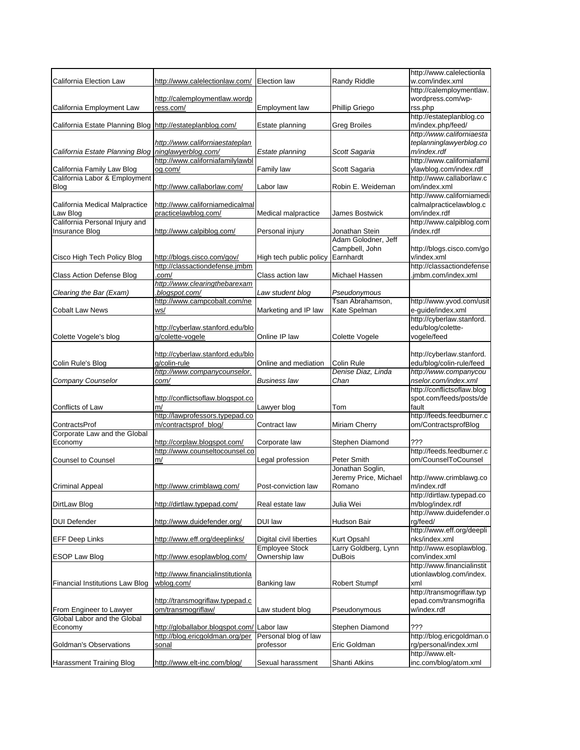|                                                            |                                   |                         |                       | http://www.calelectionla   |
|------------------------------------------------------------|-----------------------------------|-------------------------|-----------------------|----------------------------|
| California Election Law                                    | http://www.calelectionlaw.com/    | <b>Election law</b>     | Randy Riddle          | w.com/index.xml            |
|                                                            |                                   |                         |                       | http://calemploymentlaw.   |
|                                                            | http://calemploymentlaw.wordp     |                         |                       | wordpress.com/wp-          |
| California Employment Law                                  | ress.com/                         | Employment law          | Phillip Griego        | rss.php                    |
|                                                            |                                   |                         |                       | http://estateplanblog.co   |
| California Estate Planning Blog http://estateplanblog.com/ |                                   | Estate planning         | <b>Greg Broiles</b>   | m/index.php/feed/          |
|                                                            |                                   |                         |                       | http://www.californiaesta  |
|                                                            |                                   |                         |                       |                            |
|                                                            | http://www.californiaestateplan   |                         |                       | teplanninglawyerblog.co    |
| California Estate Planning Blog                            | ninglawyerblog.com/               | Estate planning         | Scott Sagaria         | m/index.rdf                |
|                                                            | http://www.californiafamilylawbl  |                         |                       | http://www.californiafamil |
| California Family Law Blog                                 | og.com/                           | Family law              | Scott Sagaria         | ylawblog.com/index.rdf     |
| California Labor & Employment                              |                                   |                         |                       | http://www.callaborlaw.c   |
| Blog                                                       | http://www.callaborlaw.com/       | Labor law               | Robin E. Weideman     | om/index.xml               |
|                                                            |                                   |                         |                       | http://www.californiamedi  |
| California Medical Malpractice                             | http://www.californiamedicalmal   |                         |                       | calmalpracticelawblog.c    |
| Law Blog                                                   | practicelawblog.com/              | Medical malpractice     | James Bostwick        | om/index.rdf               |
|                                                            |                                   |                         |                       |                            |
| California Personal Injury and                             |                                   |                         |                       | http://www.calpiblog.com   |
| Insurance Blog                                             | http://www.calpiblog.com/         | Personal injury         | Jonathan Stein        | /index.rdf                 |
|                                                            |                                   |                         | Adam Golodner, Jeff   |                            |
|                                                            |                                   |                         | Campbell, John        | http://blogs.cisco.com/go  |
| Cisco High Tech Policy Blog                                | http://blogs.cisco.com/gov/       | High tech public policy | Earnhardt             | v/index.xml                |
|                                                            | http://classactiondefense.jmbm    |                         |                       | http://classactiondefense  |
| <b>Class Action Defense Blog</b>                           | .com/                             | Class action law        | Michael Hassen        | .jmbm.com/index.xml        |
|                                                            | http://www.clearingthebarexam     |                         |                       |                            |
|                                                            |                                   |                         |                       |                            |
| Clearing the Bar (Exam)                                    | blogspot.com/                     | Law student blog        | Pseudonymous          |                            |
|                                                            | http://www.campcobalt.com/ne      |                         | Tsan Abrahamson,      | http://www.yvod.com/usit   |
| <b>Cobalt Law News</b>                                     | ws/                               | Marketing and IP law    | Kate Spelman          | e-guide/index.xml          |
|                                                            |                                   |                         |                       | http://cyberlaw.stanford.  |
|                                                            | http://cyberlaw.stanford.edu/blo  |                         |                       | edu/blog/colette-          |
| Colette Vogele's blog                                      | g/colette-vogele                  | Online IP law           | Colette Vogele        | vogele/feed                |
|                                                            |                                   |                         |                       |                            |
|                                                            | http://cyberlaw.stanford.edu/blo  |                         |                       | http://cyberlaw.stanford.  |
| Colin Rule's Blog                                          | g/colin-rule                      |                         |                       | edu/blog/colin-rule/feed   |
|                                                            |                                   | Online and mediation    | Colin Rule            |                            |
|                                                            | http://www.companycounselor.      |                         | Denise Diaz, Linda    | http://www.companycou      |
| Company Counselor                                          | com/                              | Business law            | Chan                  | nselor.com/index.xml       |
|                                                            |                                   |                         |                       | http://conflictsoflaw.blog |
|                                                            | http://conflictsoflaw.blogspot.co |                         |                       | spot.com/feeds/posts/de    |
| Conflicts of Law                                           | m/                                | Lawyer blog             | Tom                   | fault                      |
|                                                            | http://lawprofessors.typepad.co   |                         |                       | http://feeds.feedburner.c  |
| ContractsProf                                              | m/contractsprof_blog/             | Contract law            | Miriam Cherry         | om/ContractsprofBlog       |
| Corporate Law and the Global                               |                                   |                         |                       |                            |
|                                                            |                                   |                         | Stephen Diamond       | ???                        |
| Economy                                                    | http://corplaw.blogspot.com/      | Corporate law           |                       |                            |
|                                                            | http://www.counseltocounsel.co    |                         |                       | http://feeds.feedburner.c  |
| <b>Counsel to Counsel</b>                                  | m/                                | Legal profession        | Peter Smith           | om/CounselToCounsel        |
|                                                            |                                   |                         | Jonathan Soglin,      |                            |
|                                                            |                                   |                         | Jeremy Price, Michael | http://www.crimblawg.co    |
| <b>Criminal Appeal</b>                                     | http://www.crimblawg.com/         | Post-conviction law     | Romano                | m/index.rdf                |
|                                                            |                                   |                         |                       | http://dirtlaw.typepad.co  |
| DirtLaw Blog                                               | http://dirtlaw.typepad.com/       | Real estate law         | Julia Wei             | m/blog/index.rdf           |
|                                                            |                                   |                         |                       | http://www.duidefender.o   |
|                                                            |                                   |                         |                       |                            |
| <b>DUI Defender</b>                                        | http://www.duidefender.org/       | DUI law                 | Hudson Bair           | rg/feed/                   |
|                                                            |                                   |                         |                       | http://www.eff.org/deepli  |
| <b>EFF Deep Links</b>                                      | http://www.eff.org/deeplinks/     | Digital civil liberties | Kurt Opsahl           | nks/index.xml              |
|                                                            |                                   | <b>Employee Stock</b>   | Larry Goldberg, Lynn  | http://www.esoplawblog.    |
| <b>ESOP Law Blog</b>                                       | http://www.esoplawblog.com/       | Ownership law           | <b>DuBois</b>         | com/index.xml              |
|                                                            |                                   |                         |                       | http://www.financialinstit |
|                                                            | http://www.financialinstitutionla |                         |                       | utionlawblog.com/index.    |
| <b>Financial Institutions Law Blog</b>                     | wblog.com/                        | Banking law             | <b>Robert Stumpf</b>  | xml                        |
|                                                            |                                   |                         |                       | http://transmogriflaw.typ  |
|                                                            |                                   |                         |                       |                            |
|                                                            | http://transmogriflaw.typepad.c   |                         |                       | epad.com/transmogrifla     |
| From Engineer to Lawyer                                    | om/transmogriflaw/                | Law student blog        | Pseudonymous          | w/index.rdf                |
| Global Labor and the Global                                |                                   |                         |                       |                            |
| Economy                                                    | http://globallabor.blogspot.com/  | Labor law               | Stephen Diamond       | ???                        |
|                                                            | http://blog.ericgoldman.org/per   | Personal blog of law    |                       | http://blog.ericgoldman.o  |
| Goldman's Observations                                     | sonal                             | professor               | Eric Goldman          | rg/personal/index.xml      |
|                                                            |                                   |                         |                       | http://www.elt-            |
|                                                            | http://www.elt-inc.com/blog/      | Sexual harassment       | Shanti Atkins         | inc.com/blog/atom.xml      |
| Harassment Training Blog                                   |                                   |                         |                       |                            |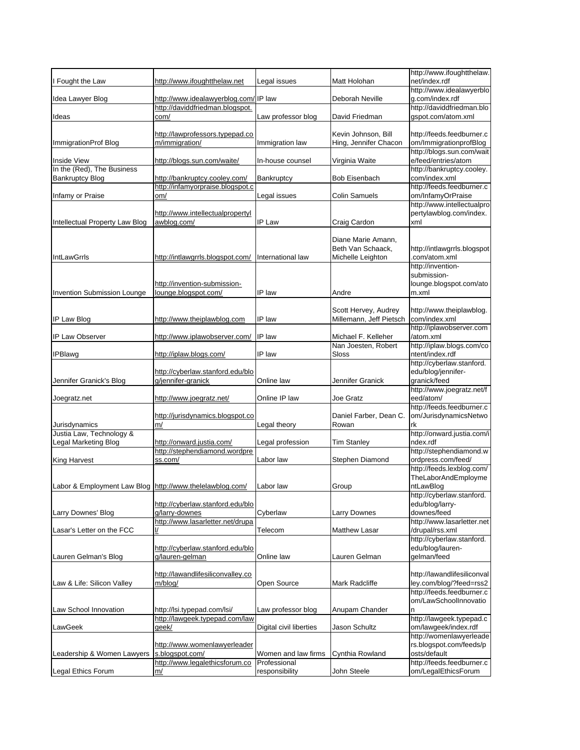|                                                          |                                                                   |                                     |                                            | http://www.ifoughtthelaw.                             |
|----------------------------------------------------------|-------------------------------------------------------------------|-------------------------------------|--------------------------------------------|-------------------------------------------------------|
| I Fought the Law                                         | http://www.ifoughtthelaw.net                                      | Legal issues                        | Matt Holohan                               | net/index.rdf<br>http://www.idealawyerblo             |
| Idea Lawyer Blog                                         | http://www.idealawyerblog.com/IP law                              |                                     | Deborah Neville                            | g.com/index.rdf                                       |
|                                                          | http://daviddfriedman.blogspot.                                   |                                     |                                            | http://daviddfriedman.blo                             |
| Ideas                                                    | com/                                                              | Law professor blog                  | David Friedman                             | gspot.com/atom.xml                                    |
|                                                          | http://lawprofessors.typepad.co                                   |                                     | Kevin Johnson, Bill                        | http://feeds.feedburner.c                             |
| ImmigrationProf Blog                                     | m/immigration/                                                    | Immigration law                     | Hing, Jennifer Chacon                      | om/ImmigrationprofBlog<br>http://blogs.sun.com/wait   |
| Inside View                                              | http://blogs.sun.com/waite/                                       | In-house counsel                    | Virginia Waite                             | e/feed/entries/atom                                   |
| In the (Red), The Business                               |                                                                   |                                     |                                            | http://bankruptcy.cooley.                             |
| <b>Bankruptcy Blog</b>                                   | http://bankruptcy.cooley.com/<br>http://infamyorpraise.blogspot.c | Bankruptcy                          | <b>Bob Eisenbach</b>                       | com/index.xml<br>http://feeds.feedburner.c            |
| Infamy or Praise                                         | om/                                                               | Legal issues                        | Colin Samuels                              | om/InfamyOrPraise                                     |
|                                                          | http://www.intellectualpropertyl                                  |                                     |                                            | http://www.intellectualpro<br>pertylawblog.com/index. |
| Intellectual Property Law Blog                           | awblog.com/                                                       | IP Law                              | Craig Cardon                               | xml                                                   |
|                                                          |                                                                   |                                     |                                            |                                                       |
|                                                          |                                                                   |                                     | Diane Marie Amann,<br>Beth Van Schaack,    | http://intlawgrrls.blogspot                           |
| <b>IntLawGrrls</b>                                       | http://intlawgrrls.blogspot.com/                                  | International law                   | Michelle Leighton                          | .com/atom.xml                                         |
|                                                          |                                                                   |                                     |                                            | http://invention-                                     |
|                                                          | http://invention-submission-                                      |                                     |                                            | submission-<br>lounge.blogspot.com/ato                |
| Invention Submission Lounge                              | lounge.blogspot.com/                                              | IP law                              | Andre                                      | m.xml                                                 |
|                                                          |                                                                   |                                     | Scott Hervey, Audrey                       | http://www.theiplawblog.                              |
| IP Law Blog                                              | http://www.theiplawblog.com                                       | IP law                              | Millemann, Jeff Pietsch                    | com/index.xml                                         |
|                                                          |                                                                   |                                     |                                            | http://iplawobserver.com                              |
| <b>IP Law Observer</b>                                   | http://www.iplawobserver.com/                                     | IP law                              | Michael F. Kelleher<br>Nan Joesten, Robert | /atom.xml<br>http://iplaw.blogs.com/co                |
| <b>IPBlawg</b>                                           | http://iplaw.blogs.com/                                           | IP law                              | Sloss                                      | ntent/index.rdf                                       |
|                                                          | http://cyberlaw.stanford.edu/blo                                  |                                     |                                            | http://cyberlaw.stanford.<br>edu/blog/jennifer-       |
| Jennifer Granick's Blog                                  | g/jennifer-granick                                                | Online law                          | Jennifer Granick                           | granick/feed                                          |
|                                                          |                                                                   |                                     |                                            | http://www.joegratz.net/f                             |
| Joegratz.net                                             | http://www.joegratz.net/                                          | Online IP law                       | Joe Gratz                                  | eed/atom/<br>http://feeds.feedburner.c                |
|                                                          | http://jurisdynamics.blogspot.co                                  |                                     | Daniel Farber, Dean C.                     | om/JurisdynamicsNetwo                                 |
| Jurisdynamics<br>Justia Law, Technology &                | m/                                                                | Legal theory                        | Rowan                                      | rk<br>http://onward.justia.com/i                      |
| Legal Marketing Blog                                     | http://onward.justia.com/                                         | Legal profession                    | <b>Tim Stanley</b>                         | ndex.rdf                                              |
|                                                          | http://stephendiamond.wordpre                                     |                                     |                                            | http://stephendiamond.w                               |
| <b>King Harvest</b>                                      | ss.com/                                                           | Labor law                           | Stephen Diamond                            | ordpress.com/feed/<br>http://feeds.lexblog.com/       |
|                                                          |                                                                   |                                     |                                            | TheLaborAndEmployme                                   |
| Labor & Employment Law Blog http://www.thelelawblog.com/ |                                                                   | Labor law                           | Group                                      | ntLawBlog<br>http://cyberlaw.stanford.                |
|                                                          | http://cyberlaw.stanford.edu/blo                                  |                                     |                                            | edu/blog/larry-                                       |
| Larry Downes' Blog                                       | g/larry-downes                                                    | Cyberlaw                            | Larry Downes                               | downes/feed                                           |
| Lasar's Letter on the FCC                                | http://www.lasarletter.net/drupa<br>I/                            | Telecom                             | <b>Matthew Lasar</b>                       | http://www.lasarletter.net<br>/drupal/rss.xml         |
|                                                          |                                                                   |                                     |                                            | http://cyberlaw.stanford.                             |
| Lauren Gelman's Blog                                     | http://cyberlaw.stanford.edu/blo<br>g/lauren-gelman               | Online law                          | Lauren Gelman                              | edu/blog/lauren-<br>gelman/feed                       |
|                                                          |                                                                   |                                     |                                            |                                                       |
|                                                          | http://lawandlifesiliconvalley.co                                 |                                     |                                            | http://lawandlifesiliconval                           |
| Law & Life: Silicon Valley                               | m/blog/                                                           | Open Source                         | Mark Radcliffe                             | ley.com/blog/?feed=rss2<br>http://feeds.feedburner.c  |
|                                                          |                                                                   |                                     |                                            | om/LawSchoolInnovatio                                 |
| Law School Innovation                                    | http://lsi.typepad.com/lsi/                                       | Law professor blog                  | Anupam Chander                             | n                                                     |
| LawGeek                                                  | http://lawgeek.typepad.com/law<br>qeek/                           | Digital civil liberties             | Jason Schultz                              | http://lawgeek.typepad.c<br>om/lawgeek/index.rdf      |
|                                                          |                                                                   |                                     |                                            | http://womenlawyerleade                               |
|                                                          | http://www.womenlawyerleader                                      |                                     |                                            | rs.blogspot.com/feeds/p                               |
| Leadership & Women Lawyers                               | s.blogspot.com/<br>http://www.legalethicsforum.co                 | Women and law firms<br>Professional | Cynthia Rowland                            | osts/default<br>http://feeds.feedburner.c             |
| Legal Ethics Forum                                       | <u>m/</u>                                                         | responsibility                      | John Steele                                | om/LegalEthicsForum                                   |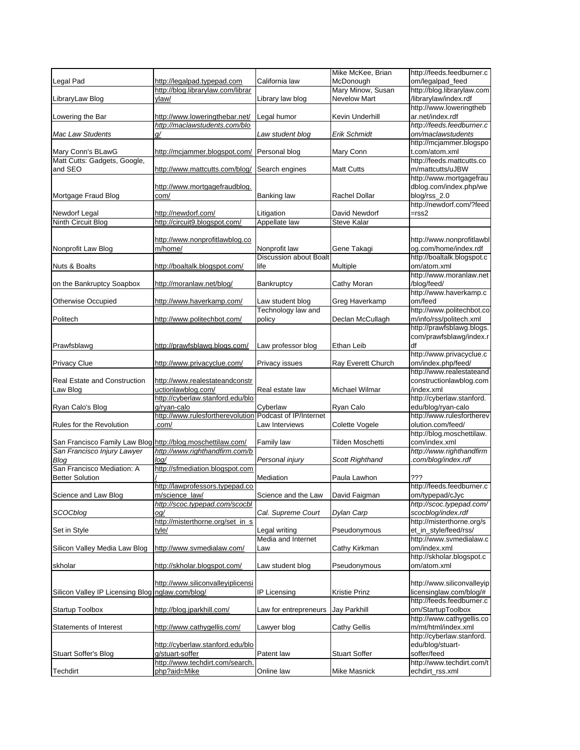|                                                             |                                                 |                                                | Mike McKee, Brian    | http://feeds.feedburner.c                        |
|-------------------------------------------------------------|-------------------------------------------------|------------------------------------------------|----------------------|--------------------------------------------------|
| Legal Pad                                                   | http://legalpad.typepad.com                     | California law                                 | McDonough            | om/legalpad_feed                                 |
|                                                             | http://blog.librarylaw.com/librar               |                                                | Mary Minow, Susan    | http://blog.librarylaw.com                       |
| LibraryLaw Blog                                             | ylaw/                                           | Library law blog                               | Nevelow Mart         | /librarylaw/index.rdf                            |
|                                                             |                                                 |                                                |                      | http://www.loweringtheb                          |
| Lowering the Bar                                            | http://www.loweringthebar.net/                  | Legal humor                                    | Kevin Underhill      | ar.net/index.rdf                                 |
|                                                             | http://maclawstudents.com/blo                   |                                                |                      | http://feeds.feedburner.c                        |
| Mac Law Students                                            | g/                                              | Law student blog                               | Erik Schmidt         | om/maclawstudents                                |
| Mary Conn's BLawG                                           | http://mcjammer.blogspot.com/                   | Personal blog                                  | Mary Conn            | http://mcjammer.blogspo<br>t.com/atom.xml        |
| Matt Cutts: Gadgets, Google,                                |                                                 |                                                |                      | http://feeds.mattcutts.co                        |
| and SEO                                                     | http://www.mattcutts.com/blog/                  | Search engines                                 | <b>Matt Cutts</b>    | m/mattcutts/uJBW                                 |
|                                                             |                                                 |                                                |                      | http://www.mortgagefrau                          |
|                                                             | http://www.mortgagefraudblog.                   |                                                |                      | dblog.com/index.php/we                           |
| Mortgage Fraud Blog                                         | com/                                            | Banking law                                    | <b>Rachel Dollar</b> | blog/rss_2.0                                     |
|                                                             |                                                 |                                                |                      | http://newdorf.com/?feed                         |
| Newdorf Legal                                               | http://newdorf.com/                             | Litigation                                     | David Newdorf        | $=$ rss $2$                                      |
| <b>Ninth Circuit Blog</b>                                   | http://circuit9.blogspot.com/                   | Appellate law                                  | <b>Steve Kalar</b>   |                                                  |
|                                                             |                                                 |                                                |                      |                                                  |
|                                                             | http://www.nonprofitlawblog.co                  |                                                |                      | http://www.nonprofitlawbl                        |
| Nonprofit Law Blog                                          | m/home/                                         | Nonprofit law<br><b>Discussion about Boalt</b> | Gene Takagi          | og.com/home/index.rdf                            |
| Nuts & Boalts                                               | http://boaltalk.blogspot.com/                   | life                                           |                      | http://boaltalk.blogspot.c<br>om/atom.xml        |
|                                                             |                                                 |                                                | Multiple             | http://www.moranlaw.net                          |
| on the Bankruptcy Soapbox                                   | http://moranlaw.net/blog/                       | Bankruptcy                                     | Cathy Moran          | /blog/feed/                                      |
|                                                             |                                                 |                                                |                      | http://www.haverkamp.c                           |
| <b>Otherwise Occupied</b>                                   | http://www.haverkamp.com/                       | Law student blog                               | Greg Haverkamp       | om/feed                                          |
|                                                             |                                                 | Technology law and                             |                      | http://www.politechbot.co                        |
| Politech                                                    | http://www.politechbot.com/                     | policy                                         | Declan McCullagh     | m/info/rss/politech.xml                          |
|                                                             |                                                 |                                                |                      | http://prawfsblawg.blogs.                        |
|                                                             |                                                 |                                                |                      | com/prawfsblawg/index.r                          |
| Prawfsblawg                                                 | http://prawfsblawg.blogs.com/                   | Law professor blog                             | Ethan Leib           | df                                               |
|                                                             |                                                 |                                                |                      | http://www.privacyclue.c                         |
| <b>Privacy Clue</b>                                         | http://www.privacyclue.com/                     | Privacy issues                                 | Ray Everett Church   | om/index.php/feed/<br>http://www.realestateand   |
| Real Estate and Construction                                | http://www.realestateandconstr                  |                                                |                      | constructionlawblog.com                          |
| Law Blog                                                    | uctionlawblog.com/                              | Real estate law                                | Michael Wilmar       | /index.xml                                       |
|                                                             | http://cyberlaw.stanford.edu/blo                |                                                |                      | http://cyberlaw.stanford.                        |
| Ryan Calo's Blog                                            | g/ryan-calo                                     | Cyberlaw                                       | Ryan Calo            | edu/blog/ryan-calo                               |
|                                                             | http://www.rulesfortherevolution                | Podcast of IP/Internet                         |                      | http://www.rulesfortherev                        |
| Rules for the Revolution                                    | .com/                                           | Law Interviews                                 | Colette Vogele       | olution.com/feed/                                |
|                                                             |                                                 |                                                |                      | http://blog.moschettilaw.                        |
| San Francisco Family Law Blog http://blog.moschettilaw.com/ |                                                 | Family law                                     | Tilden Moschetti     | com/index.xml                                    |
| San Francisco Injury Lawyer                                 | http://www.righthandfirm.com/b                  |                                                |                      | http://www.righthandfirm                         |
| Blog<br>San Francisco Mediation: A                          | loq/                                            | Personal injury                                | Scott Righthand      | .com/blog/index.rdf                              |
| <b>Better Solution</b>                                      | http://sfmediation.blogspot.com                 | Mediation                                      | Paula Lawhon         | ???                                              |
|                                                             | http://lawprofessors.typepad.co                 |                                                |                      | http://feeds.feedburner.c                        |
| Science and Law Blog                                        | m/science law/                                  | Science and the Law                            | David Faigman        | om/typepad/cJyc                                  |
|                                                             | http://scoc.typepad.com/scocbl                  |                                                |                      | http://scoc.typepad.com/                         |
| SCOCblog                                                    | og/                                             | Cal. Supreme Court                             | Dylan Carp           | scocblog/index.rdf                               |
|                                                             | http://misterthorne.org/set_in_s                |                                                |                      |                                                  |
| Set in Style                                                |                                                 |                                                |                      | http://misterthorne.org/s                        |
|                                                             | tyle/                                           | Legal writing                                  | Pseudonymous         | et_in_style/feed/rss/                            |
|                                                             |                                                 | Media and Internet                             |                      | http://www.svmedialaw.c                          |
| Silicon Valley Media Law Blog                               | http://www.svmedialaw.com/                      | Law                                            | Cathy Kirkman        | om/index.xml                                     |
|                                                             |                                                 |                                                |                      | http://skholar.blogspot.c                        |
| skholar                                                     | http://skholar.blogspot.com/                    | Law student blog                               | Pseudonymous         | om/atom.xml                                      |
|                                                             |                                                 |                                                |                      |                                                  |
|                                                             | http://www.siliconvalleyiplicensi               |                                                |                      | http://www.siliconvalleyip                       |
| Silicon Valley IP Licensing Blog nglaw.com/blog/            |                                                 | IP Licensing                                   | Kristie Prinz        | licensinglaw.com/blog/#                          |
|                                                             |                                                 |                                                |                      | http://feeds.feedburner.c                        |
| <b>Startup Toolbox</b>                                      | http://blog.jparkhill.com/                      | Law for entrepreneurs                          | Jay Parkhill         | om/StartupToolbox                                |
| Statements of Interest                                      | http://www.cathygellis.com/                     | Lawyer blog                                    | <b>Cathy Gellis</b>  | http://www.cathygellis.co<br>m/mt/html/index.xml |
|                                                             |                                                 |                                                |                      | http://cyberlaw.stanford.                        |
|                                                             | http://cyberlaw.stanford.edu/blo                |                                                |                      | edu/blog/stuart-                                 |
| <b>Stuart Soffer's Blog</b>                                 | g/stuart-soffer                                 | Patent law                                     | <b>Stuart Soffer</b> | soffer/feed                                      |
| Techdirt                                                    | http://www.techdirt.com/search.<br>php?aid=Mike | Online law                                     | Mike Masnick         | http://www.techdirt.com/t<br>echdirt_rss.xml     |